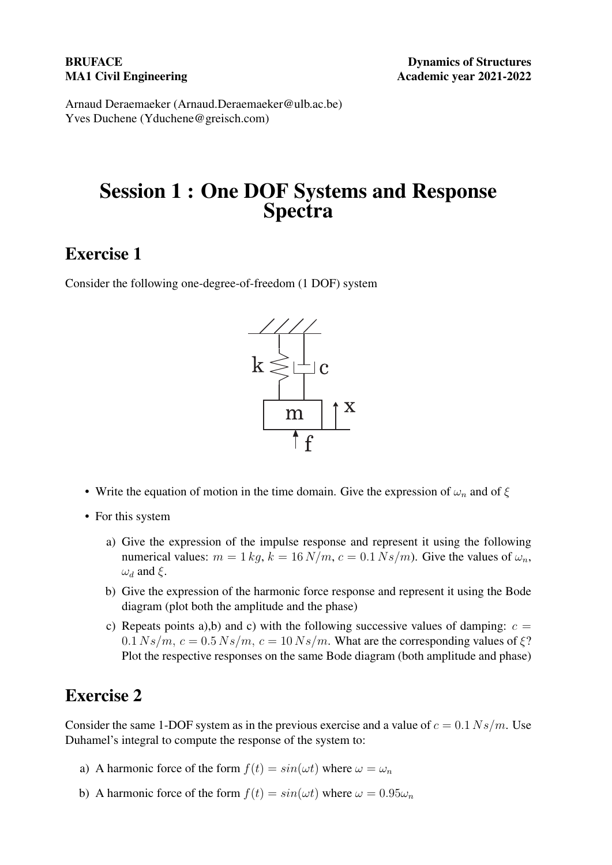Arnaud Deraemaeker (Arnaud.Deraemaeker@ulb.ac.be) Yves Duchene (Yduchene@greisch.com)

# Session 1 : One DOF Systems and Response Spectra

### Exercise 1

Consider the following one-degree-of-freedom (1 DOF) system



- Write the equation of motion in the time domain. Give the expression of  $\omega_n$  and of  $\xi$
- For this system
	- a) Give the expression of the impulse response and represent it using the following numerical values:  $m = 1 kq$ ,  $k = 16 N/m$ ,  $c = 0.1 Ns/m$ . Give the values of  $\omega_n$ ,  $\omega_d$  and  $\xi$ .
	- b) Give the expression of the harmonic force response and represent it using the Bode diagram (plot both the amplitude and the phase)
	- c) Repeats points a),b) and c) with the following successive values of damping:  $c =$  $0.1 Ns/m$ ,  $c = 0.5 Ns/m$ ,  $c = 10 Ns/m$ . What are the corresponding values of  $\xi$ ? Plot the respective responses on the same Bode diagram (both amplitude and phase)

#### Exercise 2

Consider the same 1-DOF system as in the previous exercise and a value of  $c = 0.1 Ns/m$ . Use Duhamel's integral to compute the response of the system to:

- a) A harmonic force of the form  $f(t) = \sin(\omega t)$  where  $\omega = \omega_n$
- b) A harmonic force of the form  $f(t) = \sin(\omega t)$  where  $\omega = 0.95\omega_n$